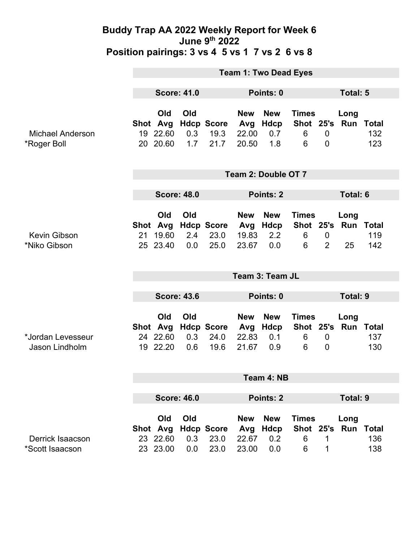|                                        | <b>Team 1: Two Dead Eyes</b>    |                                         |                   |                                     |                                     |                                         |                                     |                                    |                                   |            |
|----------------------------------------|---------------------------------|-----------------------------------------|-------------------|-------------------------------------|-------------------------------------|-----------------------------------------|-------------------------------------|------------------------------------|-----------------------------------|------------|
|                                        | <b>Score: 41.0</b>              |                                         |                   | Points: 0                           |                                     |                                         | Total: 5                            |                                    |                                   |            |
| <b>Michael Anderson</b><br>*Roger Boll |                                 | Old<br>Shot Avg<br>19 22.60<br>20 20.60 | Old<br>0.3<br>1.7 | <b>Hdcp Score</b><br>19.3<br>21.7   | <b>New</b><br>Avg<br>22.00<br>20.50 | <b>New</b><br><b>Hdcp</b><br>0.7<br>1.8 | <b>Times</b><br>Shot 25's<br>6<br>6 | $\mathbf 0$<br>$\mathbf 0$         | Long<br>Run Total                 | 132<br>123 |
|                                        | Team 2: Double OT 7             |                                         |                   |                                     |                                     |                                         |                                     |                                    |                                   |            |
|                                        | <b>Score: 48.0</b>              |                                         |                   |                                     | Points: 2                           |                                         |                                     |                                    | <b>Total: 6</b>                   |            |
| Kevin Gibson<br>*Niko Gibson           |                                 | Old<br>Shot Avg<br>21 19.60<br>25 23.40 | Old<br>2.4<br>0.0 | <b>Hdcp Score</b><br>23.0<br>25.0   | <b>New</b><br>Avg<br>19.83<br>23.67 | <b>New</b><br>Hdcp<br>2.2<br>0.0        | <b>Times</b><br>6<br>6              | $\boldsymbol{0}$<br>$\overline{2}$ | Long<br>Shot 25's Run Total<br>25 | 119<br>142 |
|                                        | Team 3: Team JL                 |                                         |                   |                                     |                                     |                                         |                                     |                                    |                                   |            |
|                                        | <b>Score: 43.6</b><br>Points: 0 |                                         |                   |                                     | <b>Total: 9</b>                     |                                         |                                     |                                    |                                   |            |
| *Jordan Levesseur<br>Jason Lindholm    |                                 | Old<br>24 22.60<br>19 22.20             | Old<br>0.3<br>0.6 | Shot Avg Hdcp Score<br>24.0<br>19.6 | <b>New</b><br>Avg<br>22.83<br>21.67 | <b>New</b><br>Hdcp<br>0.1<br>0.9        | <b>Times</b><br>Shot 25's<br>6<br>6 | $\overline{0}$<br>$\overline{0}$   | Long<br>Run Total                 | 137<br>130 |
|                                        | Team 4: NB                      |                                         |                   |                                     |                                     |                                         |                                     |                                    |                                   |            |
|                                        | <b>Score: 46.0</b>              |                                         |                   | Points: 2                           |                                     |                                         |                                     | <b>Total: 9</b>                    |                                   |            |
| Derrick Isaacson                       |                                 | Old<br>23 22.60                         | Old<br>0.3        | Shot Avg Hdcp Score<br>23.0         | <b>New</b><br>Avg Hdcp<br>22.67     | <b>New</b><br>0.2                       | <b>Times</b><br>6                   | 1                                  | Long<br>Shot 25's Run Total       | 136        |
| *Scott Isaacson                        |                                 | 23 23.00                                | 0.0               | 23.0                                | 23.00                               | 0.0                                     | 6                                   | 1                                  |                                   | 138        |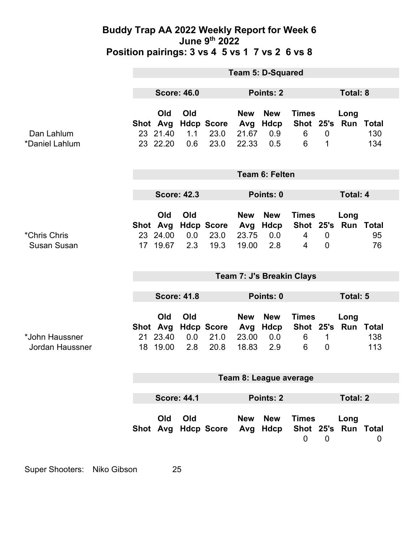|                                          | <b>Team 5: D-Squared</b>  |                                         |                          |                                   |                                     |                                  |                                     |                             |                             |                            |
|------------------------------------------|---------------------------|-----------------------------------------|--------------------------|-----------------------------------|-------------------------------------|----------------------------------|-------------------------------------|-----------------------------|-----------------------------|----------------------------|
|                                          | <b>Score: 46.0</b>        |                                         |                          | Points: 2                         |                                     |                                  |                                     | <b>Total: 8</b>             |                             |                            |
| Dan Lahlum<br>*Daniel Lahlum             |                           | Old<br>Shot Avg<br>23 21.40<br>23 22.20 | <b>Old</b><br>1.1<br>0.6 | <b>Hdcp Score</b><br>23.0<br>23.0 | <b>New</b><br>Avg<br>21.67<br>22.33 | <b>New</b><br>Hdcp<br>0.9<br>0.5 | <b>Times</b><br>Shot 25's<br>6<br>6 | $\mathbf 0$<br>1            | Long<br><b>Run Total</b>    | 130<br>134                 |
|                                          | <b>Team 6: Felten</b>     |                                         |                          |                                   |                                     |                                  |                                     |                             |                             |                            |
|                                          | <b>Score: 42.3</b>        |                                         |                          | Points: 0                         |                                     |                                  |                                     | <b>Total: 4</b>             |                             |                            |
| *Chris Chris<br><b>Susan Susan</b>       | 17 <sup>7</sup>           | Old<br>Shot Avg<br>23 24.00<br>19.67    | Old<br>0.0<br>2.3        | <b>Hdcp Score</b><br>23.0<br>19.3 | <b>New</b><br>Avg<br>23.75<br>19.00 | <b>New</b><br>Hdcp<br>0.0<br>2.8 | <b>Times</b><br>$\overline{4}$<br>4 | $\mathbf 0$<br>$\mathbf{0}$ | Long<br>Shot 25's Run Total | 95<br>76                   |
|                                          | Team 7: J's Breakin Clays |                                         |                          |                                   |                                     |                                  |                                     |                             |                             |                            |
|                                          |                           | <b>Score: 41.8</b><br>Points: 0         |                          |                                   |                                     | <b>Total: 5</b>                  |                                     |                             |                             |                            |
| *John Haussner<br><b>Jordan Haussner</b> |                           | Old<br>Shot Avg<br>21 23.40<br>18 19.00 | Old<br>0.0<br>2.8        | <b>Hdcp Score</b><br>21.0<br>20.8 | <b>New</b><br>Avg<br>23.00<br>18.83 | <b>New</b><br>Hdcp<br>0.0<br>2.9 | <b>Times</b><br>6<br>6              | 1<br>$\overline{0}$         | Long<br>Shot 25's Run       | <b>Total</b><br>138<br>113 |
|                                          | Team 8: League average    |                                         |                          |                                   |                                     |                                  |                                     |                             |                             |                            |
|                                          | <b>Score: 44.1</b>        |                                         | <b>Points: 2</b>         |                                   |                                     | <b>Total: 2</b>                  |                                     |                             |                             |                            |
|                                          |                           | Old                                     | Old                      | Shot Avg Hdcp Score               | <b>New</b>                          | <b>New</b><br>Avg Hdcp           | <b>Times</b><br>$\mathbf 0$         | $\overline{0}$              | Long<br>Shot 25's Run Total | 0                          |

Super Shooters: Niko Gibson 25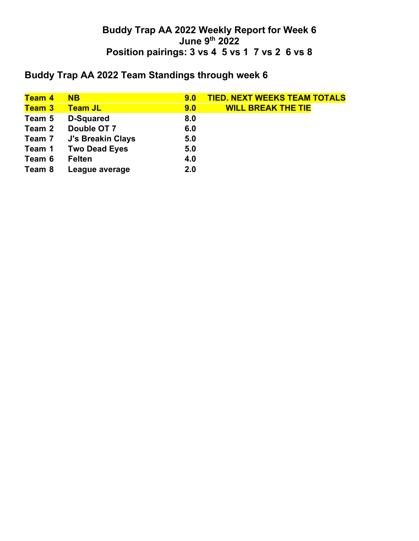# **Buddy Trap AA 2022 Team Standings through week 6**

| <b>Team 4</b> | <b>NB</b>            | 9.0 | <b>TIED. NEXT WEEKS TEAM TOTALS</b> |
|---------------|----------------------|-----|-------------------------------------|
| <b>Team 3</b> | <b>Team JL</b>       | 9.0 | <b>WILL BREAK THE TIE</b>           |
| Team 5        | <b>D-Squared</b>     | 8.0 |                                     |
| Team 2        | Double OT 7          | 6.0 |                                     |
| Team 7        | J's Breakin Clays    | 5.0 |                                     |
| Team 1        | <b>Two Dead Eyes</b> | 5.0 |                                     |
| Team 6        | <b>Felten</b>        | 4.0 |                                     |
| Team 8        | League average       | 2.0 |                                     |